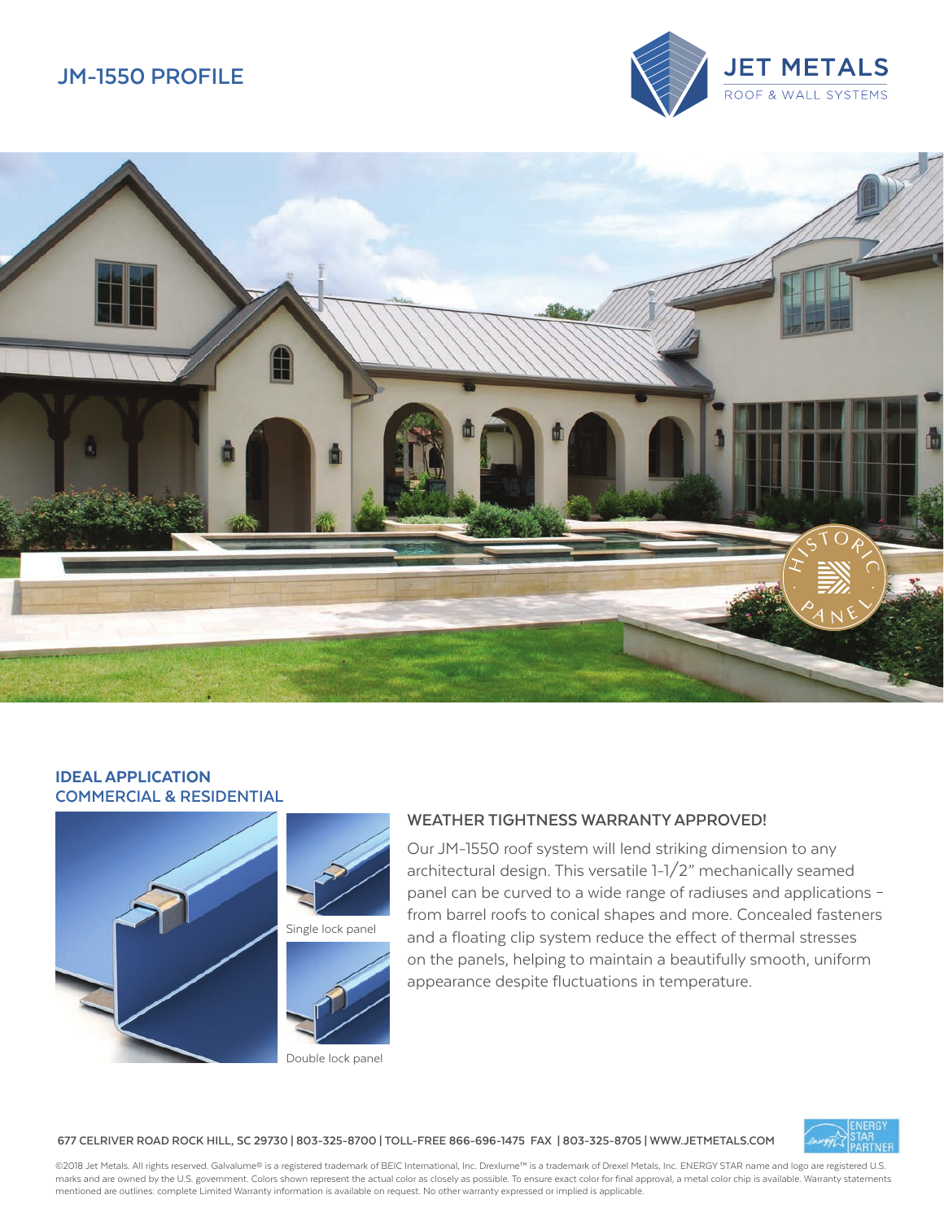# **JM-1550 PROFILE**





## IDEAL APPLICATION **COMMERCIAL & RESIDENTIAL**



## **WEATHER TIGHTNESS WARRANTY APPROVED!**

Our JM-1550 roof system will lend striking dimension to any architectural design. This versatile 1-1/2" mechanically seamed panel can be curved to a wide range of radiuses and applications – from barrel roofs to conical shapes and more. Concealed fasteners and a floating clip system reduce the effect of thermal stresses on the panels, helping to maintain a beautifully smooth, uniform appearance despite fluctuations in temperature.

**677 CELRIVER ROAD ROCK HILL, SC 29730 | 803-325-8700 | TOLL-FREE 866-696-1475 FAX | 803-325-8705 | WWW.JETMETALS.COM**

©2018 Jet Metals. All rights reserved. Galvalume® is a registered trademark of BEIC International, Inc. Drexlume™ is a trademark of Drexel Metals, Inc. ENERGY STAR name and logo are registered U.S. marks and are owned by the U.S. government. Colors shown represent the actual color as closely as possible. To ensure exact color for final approval, a metal color chip is available. Warranty statements mentioned are outlines: complete Limited Warranty information is available on request. No other warranty expressed or implied is applicable.